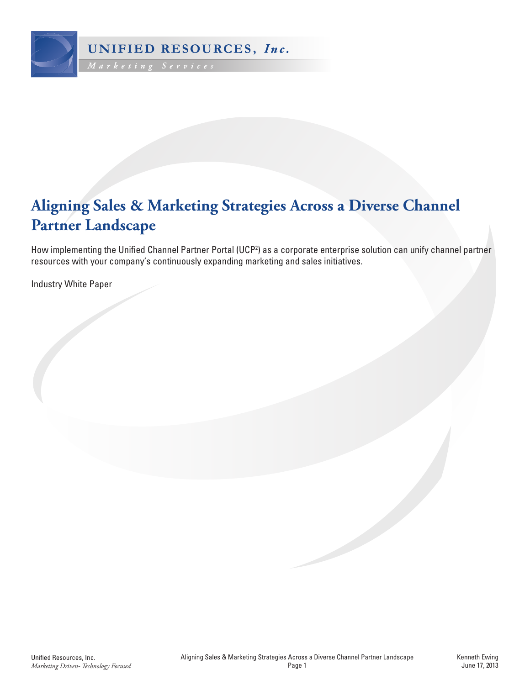

# **Aligning Sales & Marketing Strategies Across a Diverse Channel Partner Landscape**

How implementing the Unified Channel Partner Portal (UCP2 ) as a corporate enterprise solution can unify channel partner resources with your company's continuously expanding marketing and sales initiatives.

Industry White Paper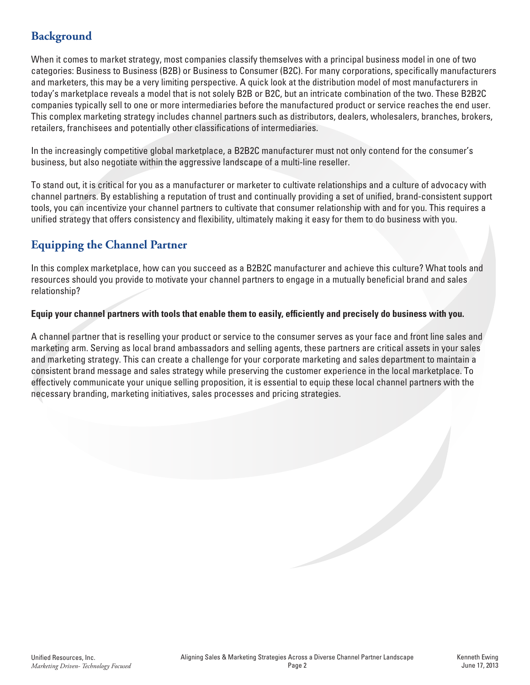# **Background**

When it comes to market strategy, most companies classify themselves with a principal business model in one of two categories: Business to Business (B2B) or Business to Consumer (B2C). For many corporations, specifically manufacturers and marketers, this may be a very limiting perspective. A quick look at the distribution model of most manufacturers in today's marketplace reveals a model that is not solely B2B or B2C, but an intricate combination of the two. These B2B2C companies typically sell to one or more intermediaries before the manufactured product or service reaches the end user. This complex marketing strategy includes channel partners such as distributors, dealers, wholesalers, branches, brokers, retailers, franchisees and potentially other classifications of intermediaries.

In the increasingly competitive global marketplace, a B2B2C manufacturer must not only contend for the consumer's business, but also negotiate within the aggressive landscape of a multi-line reseller.

To stand out, it is critical for you as a manufacturer or marketer to cultivate relationships and a culture of advocacy with channel partners. By establishing a reputation of trust and continually providing a set of unified, brand-consistent support tools, you can incentivize your channel partners to cultivate that consumer relationship with and for you. This requires a unified strategy that offers consistency and flexibility, ultimately making it easy for them to do business with you.

# **Equipping the Channel Partner**

In this complex marketplace, how can you succeed as a B2B2C manufacturer and achieve this culture? What tools and resources should you provide to motivate your channel partners to engage in a mutually beneficial brand and sales relationship?

#### **Equip your channel partners with tools that enable them to easily, efficiently and precisely do business with you.**

A channel partner that is reselling your product or service to the consumer serves as your face and front line sales and marketing arm. Serving as local brand ambassadors and selling agents, these partners are critical assets in your sales and marketing strategy. This can create a challenge for your corporate marketing and sales department to maintain a consistent brand message and sales strategy while preserving the customer experience in the local marketplace. To effectively communicate your unique selling proposition, it is essential to equip these local channel partners with the necessary branding, marketing initiatives, sales processes and pricing strategies.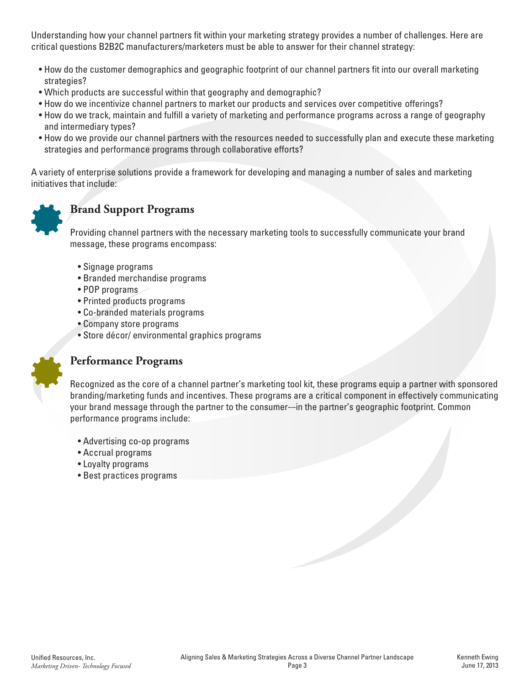Understanding how your channel partners fit within your marketing strategy provides a number of challenges. Here are critical questions B2B2C manufacturers/marketers must be able to answer for their channel strategy:

- How do the customer demographics and geographic footprint of our channel partners fit into our overall marketing strategies?
- Which products are successful within that geography and demographic?
- How do we incentivize channel partners to market our products and services over competitive offerings?
- How do we track, maintain and fulfill a variety of marketing and performance programs across a range of geography and intermediary types?
- How do we provide our channel partners with the resources needed to successfully plan and execute these marketing strategies and performance programs through collaborative efforts?

A variety of enterprise solutions provide a framework for developing and managing a number of sales and marketing initiatives that include:



## **Brand Support Programs**

Providing channel partners with the necessary marketing tools to successfully communicate your brand message, these programs encompass:

- Signage programs
- Branded merchandise programs
- POP programs
- Printed products programs
- Co-branded materials programs
- Company store programs
- Store décor/ environmental graphics programs



# **Performance Programs**

Recognized as the core of a channel partner's marketing tool kit, these programs equip a partner with sponsored branding/marketing funds and incentives. These programs are a critical component in effectively communicating your brand message through the partner to the consumer-–in the partner's geographic footprint. Common performance programs include:

- Advertising co-op programs
- Accrual programs
- Loyalty programs
- Best practices programs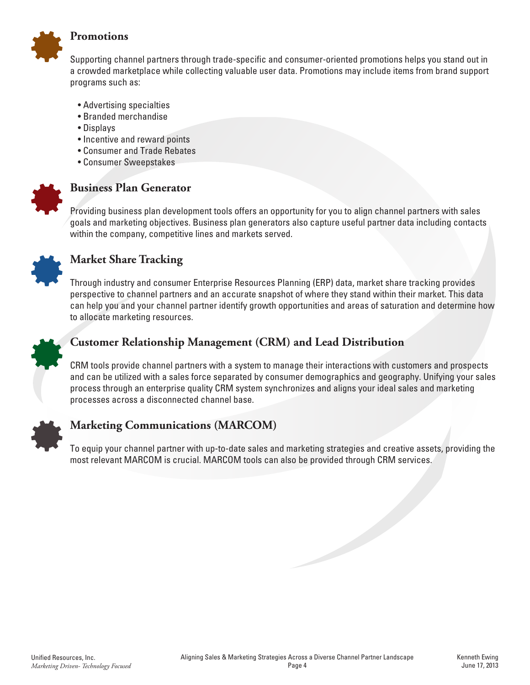

#### **Promotions**

Supporting channel partners through trade-specific and consumer-oriented promotions helps you stand out in a crowded marketplace while collecting valuable user data. Promotions may include items from brand support programs such as:

- Advertising specialties
- Branded merchandise
- Displays
- Incentive and reward points
- Consumer and Trade Rebates
- Consumer Sweepstakes



#### **Business Plan Generator**

Providing business plan development tools offers an opportunity for you to align channel partners with sales goals and marketing objectives. Business plan generators also capture useful partner data including contacts within the company, competitive lines and markets served.



## **Market Share Tracking**

Through industry and consumer Enterprise Resources Planning (ERP) data, market share tracking provides perspective to channel partners and an accurate snapshot of where they stand within their market. This data can help you and your channel partner identify growth opportunities and areas of saturation and determine how to allocate marketing resources.



### **Customer Relationship Management (CRM) and Lead Distribution**

CRM tools provide channel partners with a system to manage their interactions with customers and prospects and can be utilized with a sales force separated by consumer demographics and geography. Unifying your sales process through an enterprise quality CRM system synchronizes and aligns your ideal sales and marketing processes across a disconnected channel base.



### **Marketing Communications (MARCOM)**

To equip your channel partner with up-to-date sales and marketing strategies and creative assets, providing the most relevant MARCOM is crucial. MARCOM tools can also be provided through CRM services.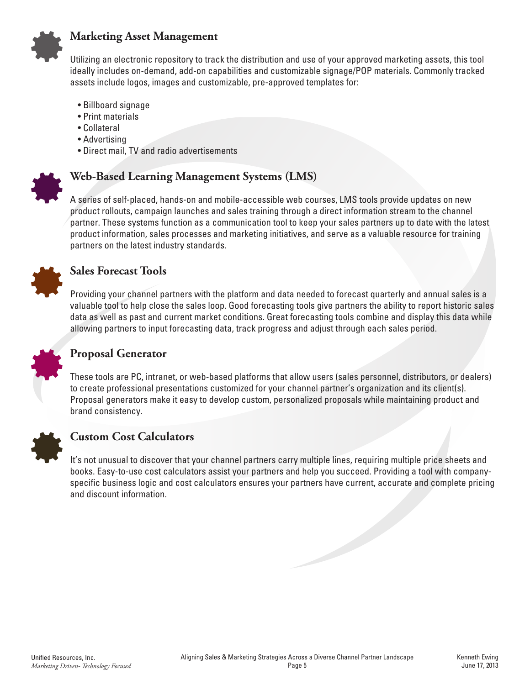

#### **Marketing Asset Management**

Utilizing an electronic repository to track the distribution and use of your approved marketing assets, this tool ideally includes on-demand, add-on capabilities and customizable signage/POP materials. Commonly tracked assets include logos, images and customizable, pre-approved templates for:

- Billboard signage
- Print materials
- Collateral
- Advertising
- Direct mail, TV and radio advertisements



### **Web-Based Learning Management Systems (LMS)**

A series of self-placed, hands-on and mobile-accessible web courses, LMS tools provide updates on new product rollouts, campaign launches and sales training through a direct information stream to the channel partner. These systems function as a communication tool to keep your sales partners up to date with the latest product information, sales processes and marketing initiatives, and serve as a valuable resource for training partners on the latest industry standards.



#### **Sales Forecast Tools**

Providing your channel partners with the platform and data needed to forecast quarterly and annual sales is a valuable tool to help close the sales loop. Good forecasting tools give partners the ability to report historic sales data as well as past and current market conditions. Great forecasting tools combine and display this data while allowing partners to input forecasting data, track progress and adjust through each sales period.



### **Proposal Generator**

These tools are PC, intranet, or web-based platforms that allow users (sales personnel, distributors, or dealers) to create professional presentations customized for your channel partner's organization and its client(s). Proposal generators make it easy to develop custom, personalized proposals while maintaining product and brand consistency.



### **Custom Cost Calculators**

It's not unusual to discover that your channel partners carry multiple lines, requiring multiple price sheets and books. Easy-to-use cost calculators assist your partners and help you succeed. Providing a tool with companyspecific business logic and cost calculators ensures your partners have current, accurate and complete pricing and discount information.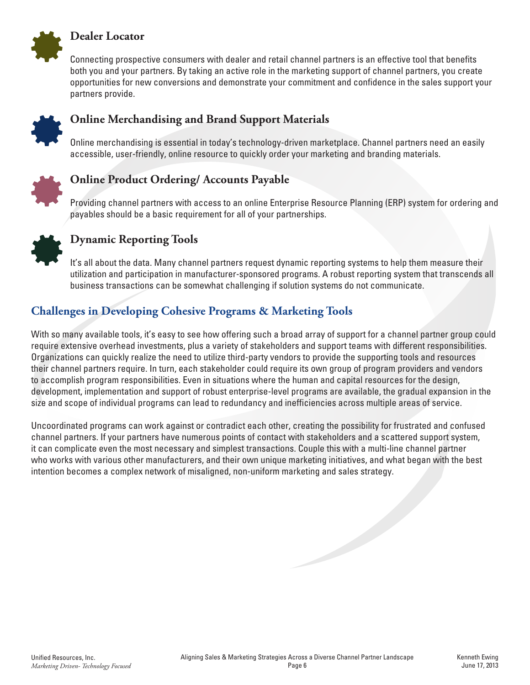

#### **Dealer Locator**

Connecting prospective consumers with dealer and retail channel partners is an effective tool that benefits both you and your partners. By taking an active role in the marketing support of channel partners, you create opportunities for new conversions and demonstrate your commitment and confidence in the sales support your partners provide.



### **Online Merchandising and Brand Support Materials**

Online merchandising is essential in today's technology-driven marketplace. Channel partners need an easily accessible, user-friendly, online resource to quickly order your marketing and branding materials.



## **Online Product Ordering/ Accounts Payable**

Providing channel partners with access to an online Enterprise Resource Planning (ERP) system for ordering and payables should be a basic requirement for all of your partnerships.



# **Dynamic Reporting Tools**

It's all about the data. Many channel partners request dynamic reporting systems to help them measure their utilization and participation in manufacturer-sponsored programs. A robust reporting system that transcends all business transactions can be somewhat challenging if solution systems do not communicate.

# **Challenges in Developing Cohesive Programs & Marketing Tools**

With so many available tools, it's easy to see how offering such a broad array of support for a channel partner group could require extensive overhead investments, plus a variety of stakeholders and support teams with different responsibilities. Organizations can quickly realize the need to utilize third-party vendors to provide the supporting tools and resources their channel partners require. In turn, each stakeholder could require its own group of program providers and vendors to accomplish program responsibilities. Even in situations where the human and capital resources for the design, development, implementation and support of robust enterprise-level programs are available, the gradual expansion in the size and scope of individual programs can lead to redundancy and inefficiencies across multiple areas of service.

Uncoordinated programs can work against or contradict each other, creating the possibility for frustrated and confused channel partners. If your partners have numerous points of contact with stakeholders and a scattered support system, it can complicate even the most necessary and simplest transactions. Couple this with a multi-line channel partner who works with various other manufacturers, and their own unique marketing initiatives, and what began with the best intention becomes a complex network of misaligned, non-uniform marketing and sales strategy.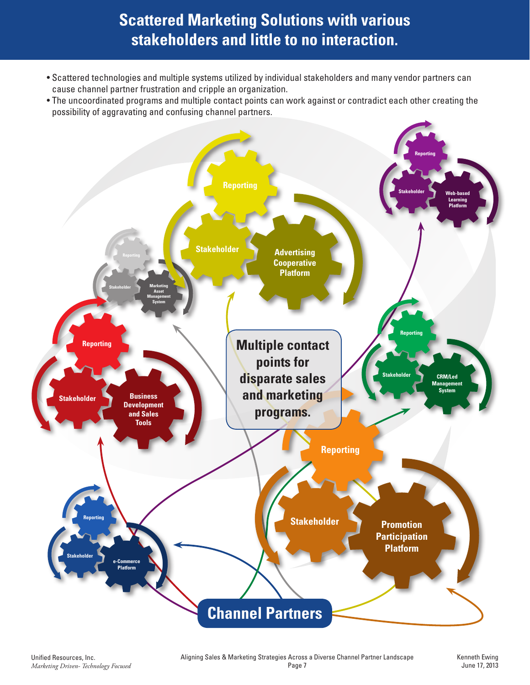# **Scattered Marketing Solutions with various stakeholders and little to no interaction.**

- Scattered technologies and multiple systems utilized by individual stakeholders and many vendor partners can cause channel partner frustration and cripple an organization.
- The uncoordinated programs and multiple contact points can work against or contradict each other creating the possibility of aggravating and confusing channel partners.

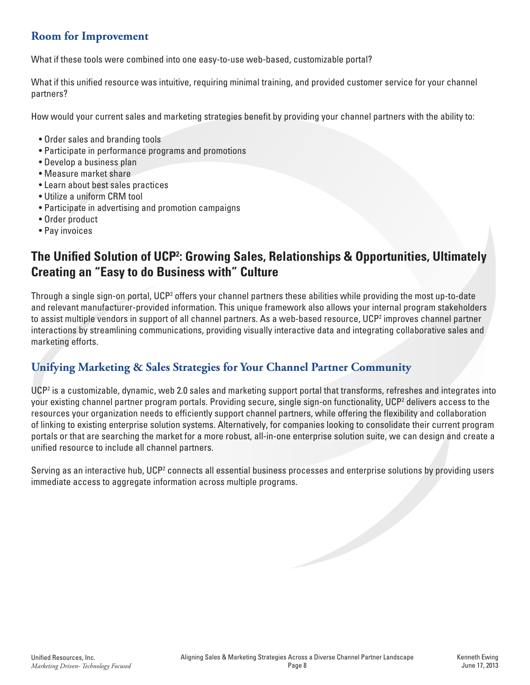# **Room for Improvement**

What if these tools were combined into one easy-to-use web-based, customizable portal?

What if this unified resource was intuitive, requiring minimal training, and provided customer service for your channel partners?

How would your current sales and marketing strategies benefit by providing your channel partners with the ability to:

- Order sales and branding tools
- Participate in performance programs and promotions
- Develop a business plan
- Measure market share
- Learn about best sales practices
- Utilize a uniform CRM tool
- Participate in advertising and promotion campaigns
- Order product
- Pay invoices

# **The Unified Solution of UCP2 : Growing Sales, Relationships & Opportunities, Ultimately Creating an "Easy to do Business with" Culture**

Through a single sign-on portal, UCP<sup>2</sup> offers your channel partners these abilities while providing the most up-to-date and relevant manufacturer-provided information. This unique framework also allows your internal program stakeholders to assist multiple vendors in support of all channel partners. As a web-based resource, UCP<sup>2</sup> improves channel partner interactions by streamlining communications, providing visually interactive data and integrating collaborative sales and marketing efforts.

# **Unifying Marketing & Sales Strategies for Your Channel Partner Community**

UCP<sup>2</sup> is a customizable, dynamic, web 2.0 sales and marketing support portal that transforms, refreshes and integrates into your existing channel partner program portals. Providing secure, single sign-on functionality, UCP2 delivers access to the resources your organization needs to efficiently support channel partners, while offering the flexibility and collaboration of linking to existing enterprise solution systems. Alternatively, for companies looking to consolidate their current program portals or that are searching the market for a more robust, all-in-one enterprise solution suite, we can design and create a unified resource to include all channel partners.

Serving as an interactive hub, UCP<sup>2</sup> connects all essential business processes and enterprise solutions by providing users immediate access to aggregate information across multiple programs.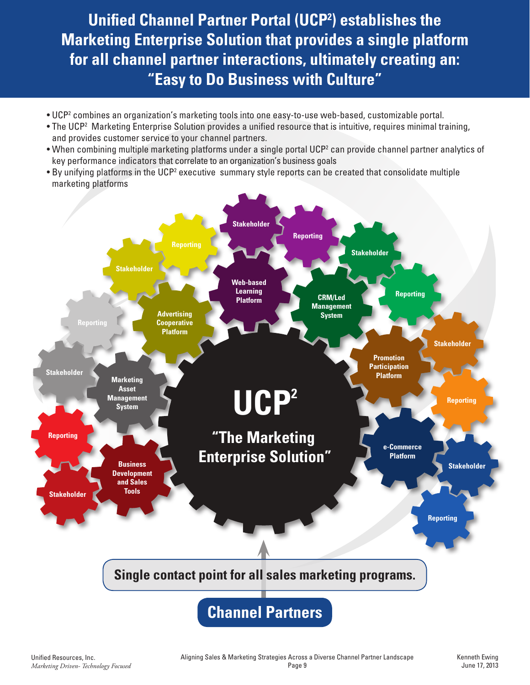**Unified Channel Partner Portal (UCP2 ) establishes the Marketing Enterprise Solution that provides a single platform for all channel partner interactions, ultimately creating an: "Easy to Do Business with Culture"**

- UCP2 combines an organization's marketing tools into one easy-to-use web-based, customizable portal.
- The UCP2 Marketing Enterprise Solution provides a unified resource that is intuitive, requires minimal training, and provides customer service to your channel partners.
- When combining multiple marketing platforms under a single portal UCP2 can provide channel partner analytics of key performance indicators that correlate to an organization's business goals
- By unifying platforms in the UCP<sup>2</sup> executive summary style reports can be created that consolidate multiple marketing platforms

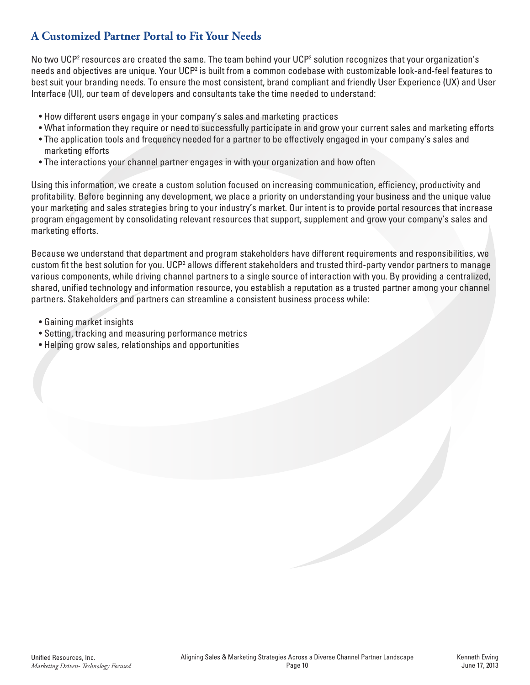# **A Customized Partner Portal to Fit Your Needs**

No two UCP<sup>2</sup> resources are created the same. The team behind your UCP<sup>2</sup> solution recognizes that your organization's needs and objectives are unique. Your UCP<sup>2</sup> is built from a common codebase with customizable look-and-feel features to best suit your branding needs. To ensure the most consistent, brand compliant and friendly User Experience (UX) and User Interface (UI), our team of developers and consultants take the time needed to understand:

- How different users engage in your company's sales and marketing practices
- What information they require or need to successfully participate in and grow your current sales and marketing efforts
- The application tools and frequency needed for a partner to be effectively engaged in your company's sales and marketing efforts
- The interactions your channel partner engages in with your organization and how often

Using this information, we create a custom solution focused on increasing communication, efficiency, productivity and profitability. Before beginning any development, we place a priority on understanding your business and the unique value your marketing and sales strategies bring to your industry's market. Our intent is to provide portal resources that increase program engagement by consolidating relevant resources that support, supplement and grow your company's sales and marketing efforts.

Because we understand that department and program stakeholders have different requirements and responsibilities, we custom fit the best solution for you. UCP<sup>2</sup> allows different stakeholders and trusted third-party vendor partners to manage various components, while driving channel partners to a single source of interaction with you. By providing a centralized, shared, unified technology and information resource, you establish a reputation as a trusted partner among your channel partners. Stakeholders and partners can streamline a consistent business process while:

- Gaining market insights
- Setting, tracking and measuring performance metrics
- Helping grow sales, relationships and opportunities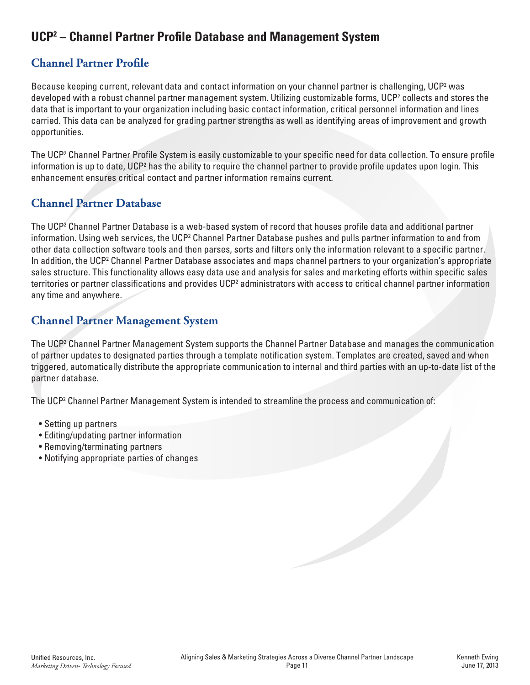# **UCP2 – Channel Partner Profile Database and Management System**

# **Channel Partner Profile**

Because keeping current, relevant data and contact information on your channel partner is challenging, UCP<sup>2</sup> was developed with a robust channel partner management system. Utilizing customizable forms, UCP<sup>2</sup> collects and stores the data that is important to your organization including basic contact information, critical personnel information and lines carried. This data can be analyzed for grading partner strengths as well as identifying areas of improvement and growth opportunities.

The UCP2 Channel Partner Profile System is easily customizable to your specific need for data collection. To ensure profile information is up to date, UCP<sup>2</sup> has the ability to require the channel partner to provide profile updates upon login. This enhancement ensures critical contact and partner information remains current.

# **Channel Partner Database**

The UCP2 Channel Partner Database is a web-based system of record that houses profile data and additional partner information. Using web services, the UCP<sup>2</sup> Channel Partner Database pushes and pulls partner information to and from other data collection software tools and then parses, sorts and filters only the information relevant to a specific partner. In addition, the UCP<sup>2</sup> Channel Partner Database associates and maps channel partners to your organization's appropriate sales structure. This functionality allows easy data use and analysis for sales and marketing efforts within specific sales territories or partner classifications and provides UCP<sup>2</sup> administrators with access to critical channel partner information any time and anywhere.

# **Channel Partner Management System**

The UCP2 Channel Partner Management System supports the Channel Partner Database and manages the communication of partner updates to designated parties through a template notification system. Templates are created, saved and when triggered, automatically distribute the appropriate communication to internal and third parties with an up-to-date list of the partner database.

The UCP2 Channel Partner Management System is intended to streamline the process and communication of:

- Setting up partners
- Editing/updating partner information
- Removing/terminating partners
- Notifying appropriate parties of changes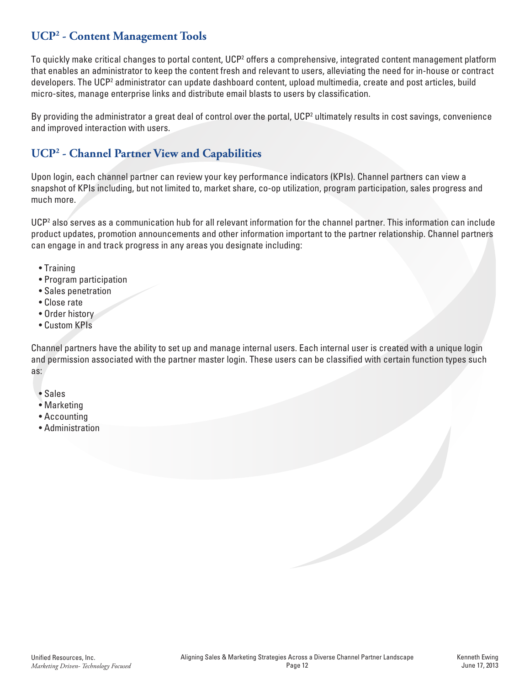# **UCP2 - Content Management Tools**

To quickly make critical changes to portal content, UCP<sup>2</sup> offers a comprehensive, integrated content management platform that enables an administrator to keep the content fresh and relevant to users, alleviating the need for in-house or contract developers. The UCP<sup>2</sup> administrator can update dashboard content, upload multimedia, create and post articles, build micro-sites, manage enterprise links and distribute email blasts to users by classification.

By providing the administrator a great deal of control over the portal, UCP<sup>2</sup> ultimately results in cost savings, convenience and improved interaction with users.

# **UCP2 - Channel Partner View and Capabilities**

Upon login, each channel partner can review your key performance indicators (KPIs). Channel partners can view a snapshot of KPIs including, but not limited to, market share, co-op utilization, program participation, sales progress and much more.

UCP<sup>2</sup> also serves as a communication hub for all relevant information for the channel partner. This information can include product updates, promotion announcements and other information important to the partner relationship. Channel partners can engage in and track progress in any areas you designate including:

- Training
- Program participation
- Sales penetration
- Close rate
- Order history
- Custom KPIs

Channel partners have the ability to set up and manage internal users. Each internal user is created with a unique login and permission associated with the partner master login. These users can be classified with certain function types such as:

- Sales
- Marketing
- Accounting
- Administration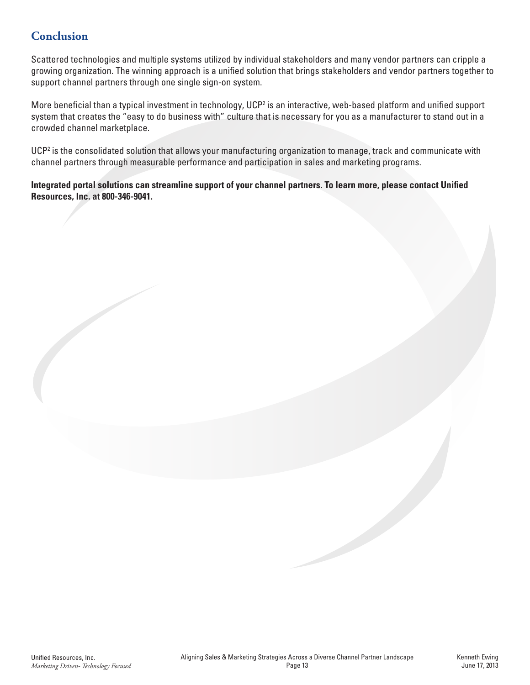# **Conclusion**

Scattered technologies and multiple systems utilized by individual stakeholders and many vendor partners can cripple a growing organization. The winning approach is a unified solution that brings stakeholders and vendor partners together to support channel partners through one single sign-on system.

More beneficial than a typical investment in technology, UCP<sup>2</sup> is an interactive, web-based platform and unified support system that creates the "easy to do business with" culture that is necessary for you as a manufacturer to stand out in a crowded channel marketplace.

UCP<sup>2</sup> is the consolidated solution that allows your manufacturing organization to manage, track and communicate with channel partners through measurable performance and participation in sales and marketing programs.

**Integrated portal solutions can streamline support of your channel partners. To learn more, please contact Unified Resources, Inc. at 800-346-9041.**